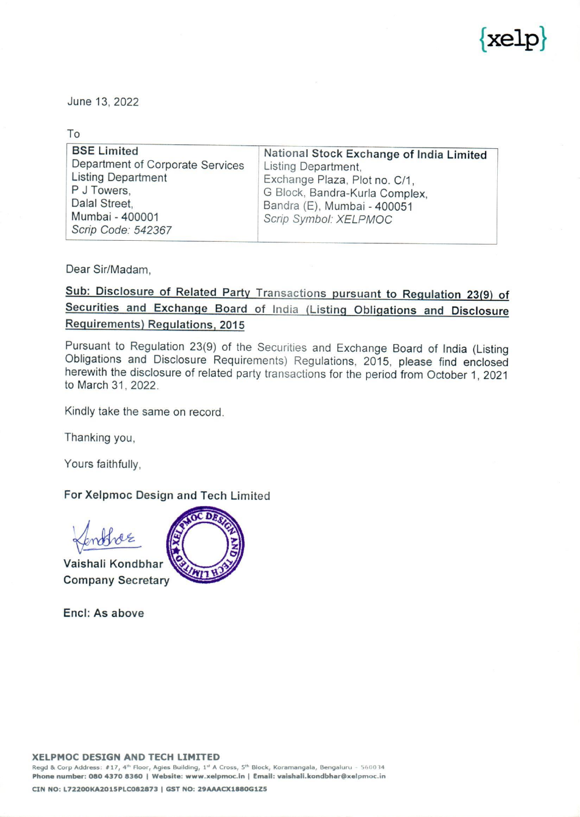

|                                                                                                                                                              | X                                                                                                                                                                                          |
|--------------------------------------------------------------------------------------------------------------------------------------------------------------|--------------------------------------------------------------------------------------------------------------------------------------------------------------------------------------------|
| June 13, 2022<br>To                                                                                                                                          |                                                                                                                                                                                            |
| <b>BSE Limited</b><br>Department of Corporate Services<br><b>Listing Department</b><br>P J Towers,<br>Dalal Street,<br>Mumbai - 400001<br>Scrip Code: 542367 | National Stock Exchange of India Limited<br>Listing Department,<br>Exchange Plaza, Plot no. C/1,<br>G Block, Bandra-Kurla Complex,<br>Bandra (E), Mumbai - 400051<br>Scrip Symbol: XELPMOC |

Dear Sir/Madam,

Sub: Disclosure of Related Party Transactions pursuant to Regulation 23(9) of Securities and Exchange Board of India (Listing Obligations and Disclosure Requirements) Regulations, 2015

Pursuant to Regulation 23(9) of the Securities and Exchange Board of India (Listing Obligations and Disclosure Requirements) Regulations, 2015, please find enclosed herewith the disclosure of related party transactions for

Kindly take the same on record.

Thanking you,

Yours faithfully,

## For Xelpmoc Design and Tech Limited

Vaishali Kondbhar \ Company Secretary



Encl: As above